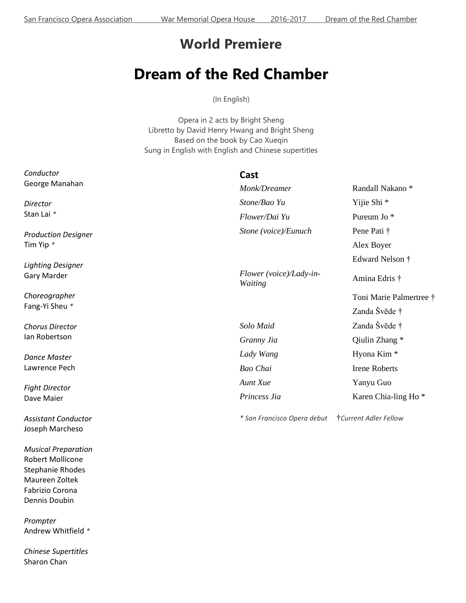## **World Premiere**

## **Dream of the Red Chamber**

(In English)

Opera in 2 acts by Bright Sheng Libretto by David Henry Hwang and Bright Sheng Based on the book by Cao Xueqin Sung in English with English and Chinese supertitles

| Conductor                                     | Cast                               |                                 |
|-----------------------------------------------|------------------------------------|---------------------------------|
| George Manahan                                | Monk/Dreamer                       | Randall Nakano*                 |
| Director                                      | Stone/Bao Yu                       | Yijie Shi <sup>*</sup>          |
| Stan Lai *                                    | Flower/Dai Yu                      | Pureum Jo <sup>*</sup>          |
| <b>Production Designer</b><br>Tim Yip *       | Stone (voice)/Eunuch               | Pene Pati †                     |
|                                               |                                    | Alex Boyer                      |
| <b>Lighting Designer</b>                      |                                    | Edward Nelson †                 |
| Gary Marder                                   | Flower (voice)/Lady-in-<br>Waiting | Amina Edris †                   |
| Choreographer<br>Fang-Yi Sheu *               |                                    | Toni Marie Palmertree †         |
|                                               |                                    | Zanda Švēde †                   |
| <b>Chorus Director</b>                        | Solo Maid                          | Zanda Švēde †                   |
| lan Robertson                                 | Granny Jia                         | Qiulin Zhang *                  |
| <b>Dance Master</b>                           | Lady Wang                          | Hyona Kim <sup>*</sup>          |
| Lawrence Pech                                 | Bao Chai                           | <b>Irene Roberts</b>            |
| <b>Fight Director</b>                         | Aunt Xue                           | Yanyu Guo                       |
| Dave Maier                                    | Princess Jia                       | Karen Chia-ling Ho <sup>*</sup> |
| <b>Assistant Conductor</b><br>Joseph Marcheso | * San Francisco Opera debut        | <b>Current Adler Fellow</b>     |

*Musical Preparation* Robert Mollicone Stephanie Rhodes Maureen Zoltek Fabrizio Corona Dennis Doubin

*Prompter* Andrew Whitfield *\**

*Chinese Supertitles* Sharon Chan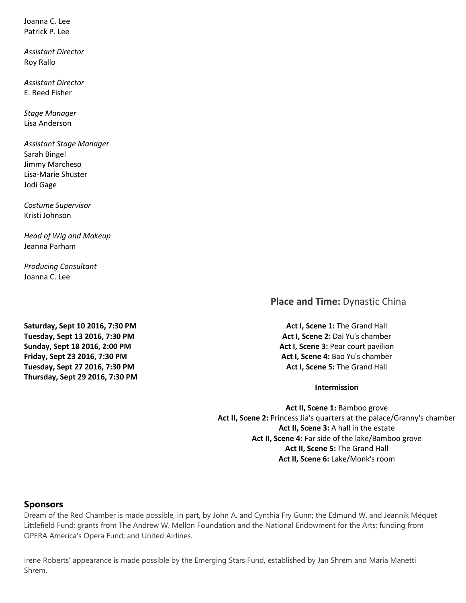Joanna C. Lee Patrick P. Lee

*Assistant Director* Roy Rallo

*Assistant Director* E. Reed Fisher

*Stage Manager* Lisa Anderson

*Assistant Stage Manager* Sarah Bingel Jimmy Marcheso Lisa-Marie Shuster Jodi Gage

*Costume Supervisor* Kristi Johnson

*Head of Wig and Makeup* Jeanna Parham

*Producing Consultant* Joanna C. Lee

**Place and Time:** Dynastic China

**Saturday, Sept 10 2016, 7:30 PM Tuesday, Sept 13 2016, 7:30 PM Sunday, Sept 18 2016, 2:00 PM Friday, Sept 23 2016, 7:30 PM Tuesday, Sept 27 2016, 7:30 PM Thursday, Sept 29 2016, 7:30 PM**

**Act I, Scene 1:** The Grand Hall **Act I, Scene 2:** Dai Yu's chamber **Act I, Scene 3:** Pear court pavilion **Act I, Scene 4:** Bao Yu's chamber **Act I, Scene 5:** The Grand Hall

**Intermission**

**Act II, Scene 1:** Bamboo grove **Act II, Scene 2:** Princess Jia's quarters at the palace/Granny's chamber **Act II, Scene 3:** A hall in the estate **Act II, Scene 4:** Far side of the lake/Bamboo grove **Act II, Scene 5:** The Grand Hall **Act II, Scene 6:** Lake/Monk's room

## **Sponsors**

Dream of the Red Chamber is made possible, in part, by John A. and Cynthia Fry Gunn; the Edmund W. and Jeannik Méquet Littlefield Fund; grants from The Andrew W. Mellon Foundation and the National Endowment for the Arts; funding from OPERA America's Opera Fund; and United Airlines.

Irene Roberts' appearance is made possible by the Emerging Stars Fund, established by Jan Shrem and Maria Manetti Shrem.